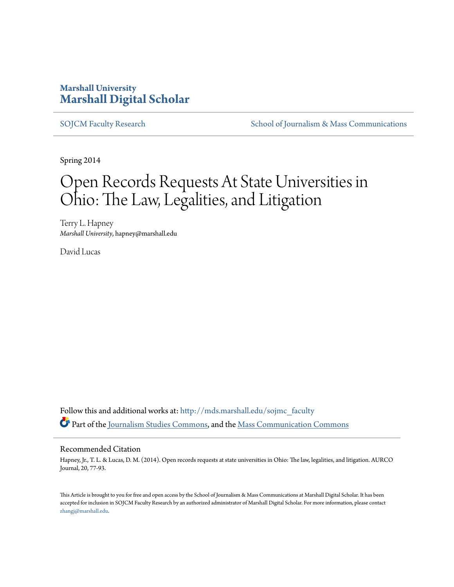## **Marshall University [Marshall Digital Scholar](http://mds.marshall.edu?utm_source=mds.marshall.edu%2Fsojmc_faculty%2F4&utm_medium=PDF&utm_campaign=PDFCoverPages)**

[SOJCM Faculty Research](http://mds.marshall.edu/sojmc_faculty?utm_source=mds.marshall.edu%2Fsojmc_faculty%2F4&utm_medium=PDF&utm_campaign=PDFCoverPages) [School of Journalism & Mass Communications](http://mds.marshall.edu/sojmc?utm_source=mds.marshall.edu%2Fsojmc_faculty%2F4&utm_medium=PDF&utm_campaign=PDFCoverPages)

Spring 2014

# Open Records Requests At State Universities in Ohio: The Law, Legalities, and Litigation

Terry L. Hapney *Marshall University*, hapney@marshall.edu

David Lucas

Follow this and additional works at: [http://mds.marshall.edu/sojmc\\_faculty](http://mds.marshall.edu/sojmc_faculty?utm_source=mds.marshall.edu%2Fsojmc_faculty%2F4&utm_medium=PDF&utm_campaign=PDFCoverPages) Part of the [Journalism Studies Commons](http://network.bepress.com/hgg/discipline/333?utm_source=mds.marshall.edu%2Fsojmc_faculty%2F4&utm_medium=PDF&utm_campaign=PDFCoverPages), and the [Mass Communication Commons](http://network.bepress.com/hgg/discipline/334?utm_source=mds.marshall.edu%2Fsojmc_faculty%2F4&utm_medium=PDF&utm_campaign=PDFCoverPages)

#### Recommended Citation

Hapney, Jr., T. L. & Lucas, D. M. (2014). Open records requests at state universities in Ohio: The law, legalities, and litigation. AURCO Journal, 20, 77-93.

This Article is brought to you for free and open access by the School of Journalism & Mass Communications at Marshall Digital Scholar. It has been accepted for inclusion in SOJCM Faculty Research by an authorized administrator of Marshall Digital Scholar. For more information, please contact [zhangj@marshall.edu.](mailto:zhangj@marshall.edu)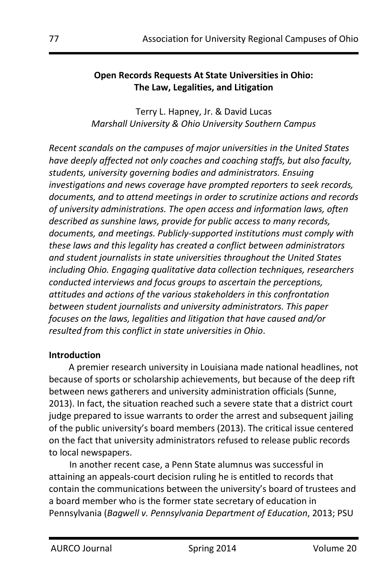#### **Open Records Requests At State Universities in Ohio: The Law, Legalities, and Litigation**

Terry L. Hapney, Jr. & David Lucas *Marshall University & Ohio University Southern Campus*

*Recent scandals on the campuses of major universities in the United States have deeply affected not only coaches and coaching staffs, but also faculty, students, university governing bodies and administrators. Ensuing investigations and news coverage have prompted reporters to seek records, documents, and to attend meetings in order to scrutinize actions and records of university administrations. The open access and information laws, often described as sunshine laws, provide for public access to many records, documents, and meetings. Publicly-supported institutions must comply with these laws and this legality has created a conflict between administrators and student journalists in state universities throughout the United States including Ohio. Engaging qualitative data collection techniques, researchers conducted interviews and focus groups to ascertain the perceptions, attitudes and actions of the various stakeholders in this confrontation between student journalists and university administrators. This paper focuses on the laws, legalities and litigation that have caused and/or resulted from this conflict in state universities in Ohio*.

#### **Introduction**

A premier research university in Louisiana made national headlines, not because of sports or scholarship achievements, but because of the deep rift between news gatherers and university administration officials (Sunne, 2013). In fact, the situation reached such a severe state that a district court judge prepared to issue warrants to order the arrest and subsequent jailing of the public university's board members (2013). The critical issue centered on the fact that university administrators refused to release public records to local newspapers.

In another recent case, a Penn State alumnus was successful in attaining an appeals-court decision ruling he is entitled to records that contain the communications between the university's board of trustees and a board member who is the former state secretary of education in Pennsylvania (*Bagwell v. Pennsylvania Department of Education*, 2013; PSU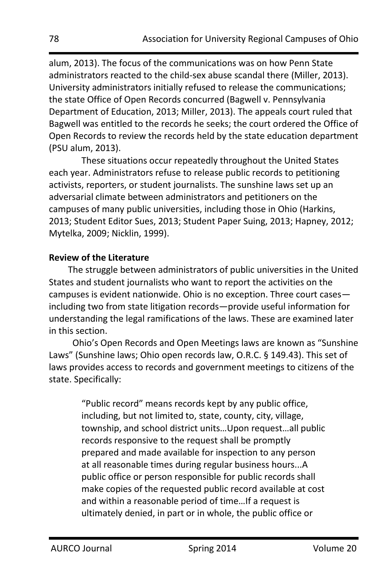alum, 2013). The focus of the communications was on how Penn State administrators reacted to the child-sex abuse scandal there (Miller, 2013). University administrators initially refused to release the communications; the state Office of Open Records concurred (Bagwell v. Pennsylvania Department of Education, 2013; Miller, 2013). The appeals court ruled that Bagwell was entitled to the records he seeks; the court ordered the Office of Open Records to review the records held by the state education department (PSU alum, 2013).

These situations occur repeatedly throughout the United States each year. Administrators refuse to release public records to petitioning activists, reporters, or student journalists. The sunshine laws set up an adversarial climate between administrators and petitioners on the campuses of many public universities, including those in Ohio (Harkins, 2013; Student Editor Sues, 2013; Student Paper Suing, 2013; Hapney, 2012; Mytelka, 2009; Nicklin, 1999).

#### **Review of the Literature**

The struggle between administrators of public universities in the United States and student journalists who want to report the activities on the campuses is evident nationwide. Ohio is no exception. Three court cases including two from state litigation records—provide useful information for understanding the legal ramifications of the laws. These are examined later in this section.

Ohio's Open Records and Open Meetings laws are known as "Sunshine Laws" (Sunshine laws; Ohio open records law, O.R.C. § 149.43). This set of laws provides access to records and government meetings to citizens of the state. Specifically:

> "Public record" means records kept by any public office, including, but not limited to, state, county, city, village, township, and school district units…Upon request…all public records responsive to the request shall be promptly prepared and made available for inspection to any person at all reasonable times during regular business hours...A public office or person responsible for public records shall make copies of the requested public record available at cost and within a reasonable period of time…If a request is ultimately denied, in part or in whole, the public office or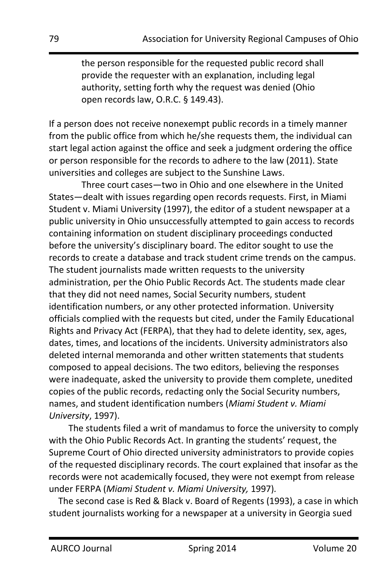the person responsible for the requested public record shall provide the requester with an explanation, including legal authority, setting forth why the request was denied (Ohio open records law, O.R.C. § 149.43).

If a person does not receive nonexempt public records in a timely manner from the public office from which he/she requests them, the individual can start legal action against the office and seek a judgment ordering the office or person responsible for the records to adhere to the law (2011). State universities and colleges are subject to the Sunshine Laws.

Three court cases—two in Ohio and one elsewhere in the United States—dealt with issues regarding open records requests. First, in Miami Student v. Miami University (1997), the editor of a student newspaper at a public university in Ohio unsuccessfully attempted to gain access to records containing information on student disciplinary proceedings conducted before the university's disciplinary board. The editor sought to use the records to create a database and track student crime trends on the campus. The student journalists made written requests to the university administration, per the Ohio Public Records Act. The students made clear that they did not need names, Social Security numbers, student identification numbers, or any other protected information. University officials complied with the requests but cited, under the Family Educational Rights and Privacy Act (FERPA), that they had to delete identity, sex, ages, dates, times, and locations of the incidents. University administrators also deleted internal memoranda and other written statements that students composed to appeal decisions. The two editors, believing the responses were inadequate, asked the university to provide them complete, unedited copies of the public records, redacting only the Social Security numbers, names, and student identification numbers (*Miami Student v. Miami University*, 1997).

The students filed a writ of mandamus to force the university to comply with the Ohio Public Records Act. In granting the students' request, the Supreme Court of Ohio directed university administrators to provide copies of the requested disciplinary records. The court explained that insofar as the records were not academically focused, they were not exempt from release under FERPA (*Miami Student v. Miami University,* 1997)*.*

The second case is Red & Black v. Board of Regents (1993), a case in which student journalists working for a newspaper at a university in Georgia sued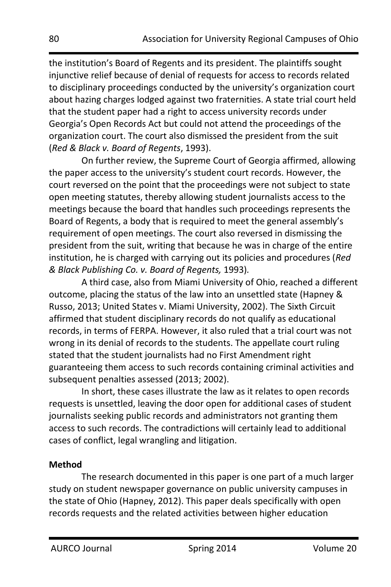the institution's Board of Regents and its president. The plaintiffs sought injunctive relief because of denial of requests for access to records related to disciplinary proceedings conducted by the university's organization court about hazing charges lodged against two fraternities. A state trial court held that the student paper had a right to access university records under Georgia's Open Records Act but could not attend the proceedings of the organization court. The court also dismissed the president from the suit (*Red & Black v. Board of Regents*, 1993).

On further review, the Supreme Court of Georgia affirmed, allowing the paper access to the university's student court records. However, the court reversed on the point that the proceedings were not subject to state open meeting statutes, thereby allowing student journalists access to the meetings because the board that handles such proceedings represents the Board of Regents, a body that is required to meet the general assembly's requirement of open meetings. The court also reversed in dismissing the president from the suit, writing that because he was in charge of the entire institution, he is charged with carrying out its policies and procedures (*Red & Black Publishing Co. v. Board of Regents,* 1993)*.*

A third case, also from Miami University of Ohio, reached a different outcome, placing the status of the law into an unsettled state (Hapney & Russo, 2013; United States v. Miami University, 2002). The Sixth Circuit affirmed that student disciplinary records do not qualify as educational records, in terms of FERPA. However, it also ruled that a trial court was not wrong in its denial of records to the students. The appellate court ruling stated that the student journalists had no First Amendment right guaranteeing them access to such records containing criminal activities and subsequent penalties assessed (2013; 2002).

In short, these cases illustrate the law as it relates to open records requests is unsettled, leaving the door open for additional cases of student journalists seeking public records and administrators not granting them access to such records. The contradictions will certainly lead to additional cases of conflict, legal wrangling and litigation.

## **Method**

The research documented in this paper is one part of a much larger study on student newspaper governance on public university campuses in the state of Ohio (Hapney, 2012). This paper deals specifically with open records requests and the related activities between higher education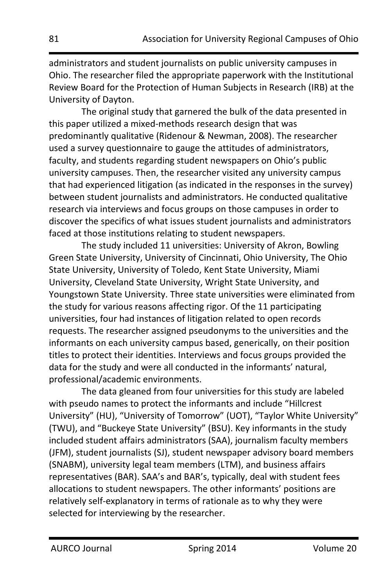administrators and student journalists on public university campuses in Ohio. The researcher filed the appropriate paperwork with the Institutional Review Board for the Protection of Human Subjects in Research (IRB) at the University of Dayton.

The original study that garnered the bulk of the data presented in this paper utilized a mixed-methods research design that was predominantly qualitative (Ridenour & Newman, 2008). The researcher used a survey questionnaire to gauge the attitudes of administrators, faculty, and students regarding student newspapers on Ohio's public university campuses. Then, the researcher visited any university campus that had experienced litigation (as indicated in the responses in the survey) between student journalists and administrators. He conducted qualitative research via interviews and focus groups on those campuses in order to discover the specifics of what issues student journalists and administrators faced at those institutions relating to student newspapers.

The study included 11 universities: University of Akron, Bowling Green State University, University of Cincinnati, Ohio University, The Ohio State University, University of Toledo, Kent State University, Miami University, Cleveland State University, Wright State University, and Youngstown State University. Three state universities were eliminated from the study for various reasons affecting rigor. Of the 11 participating universities, four had instances of litigation related to open records requests. The researcher assigned pseudonyms to the universities and the informants on each university campus based, generically, on their position titles to protect their identities. Interviews and focus groups provided the data for the study and were all conducted in the informants' natural, professional/academic environments.

The data gleaned from four universities for this study are labeled with pseudo names to protect the informants and include "Hillcrest University" (HU), "University of Tomorrow" (UOT), "Taylor White University" (TWU), and "Buckeye State University" (BSU). Key informants in the study included student affairs administrators (SAA), journalism faculty members (JFM), student journalists (SJ), student newspaper advisory board members (SNABM), university legal team members (LTM), and business affairs representatives (BAR). SAA's and BAR's, typically, deal with student fees allocations to student newspapers. The other informants' positions are relatively self-explanatory in terms of rationale as to why they were selected for interviewing by the researcher.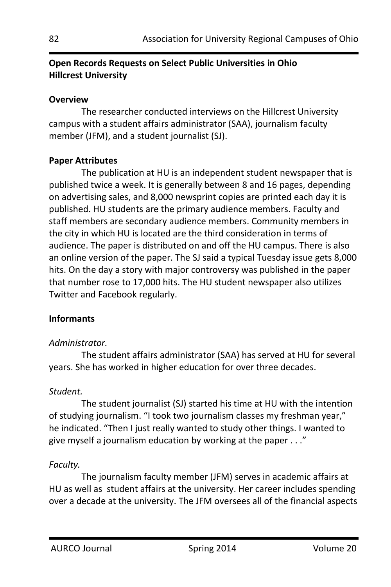## **Open Records Requests on Select Public Universities in Ohio Hillcrest University**

#### **Overview**

The researcher conducted interviews on the Hillcrest University campus with a student affairs administrator (SAA), journalism faculty member (JFM), and a student journalist (SJ).

#### **Paper Attributes**

 The publication at HU is an independent student newspaper that is published twice a week. It is generally between 8 and 16 pages, depending on advertising sales, and 8,000 newsprint copies are printed each day it is published. HU students are the primary audience members. Faculty and staff members are secondary audience members. Community members in the city in which HU is located are the third consideration in terms of audience. The paper is distributed on and off the HU campus. There is also an online version of the paper. The SJ said a typical Tuesday issue gets 8,000 hits. On the day a story with major controversy was published in the paper that number rose to 17,000 hits. The HU student newspaper also utilizes Twitter and Facebook regularly.

## **Informants**

#### *Administrator.*

The student affairs administrator (SAA) has served at HU for several years. She has worked in higher education for over three decades.

#### *Student.*

The student journalist (SJ) started his time at HU with the intention of studying journalism. "I took two journalism classes my freshman year," he indicated. "Then I just really wanted to study other things. I wanted to give myself a journalism education by working at the paper . . ."

## *Faculty.*

The journalism faculty member (JFM) serves in academic affairs at HU as well as student affairs at the university. Her career includes spending over a decade at the university. The JFM oversees all of the financial aspects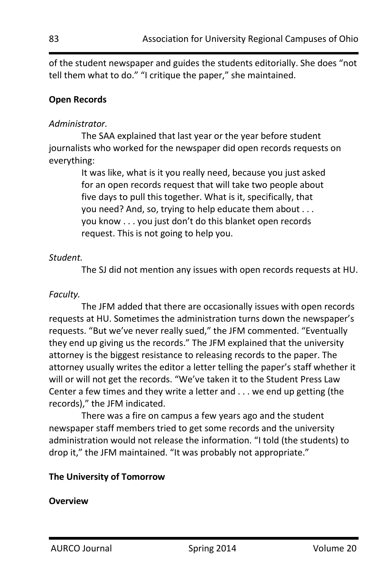of the student newspaper and guides the students editorially. She does "not tell them what to do." "I critique the paper," she maintained.

## **Open Records**

#### *Administrator.*

The SAA explained that last year or the year before student journalists who worked for the newspaper did open records requests on everything:

> It was like, what is it you really need, because you just asked for an open records request that will take two people about five days to pull this together. What is it, specifically, that you need? And, so, trying to help educate them about . . . you know . . . you just don't do this blanket open records request. This is not going to help you.

#### *Student.*

The SJ did not mention any issues with open records requests at HU.

#### *Faculty.*

The JFM added that there are occasionally issues with open records requests at HU. Sometimes the administration turns down the newspaper's requests. "But we've never really sued," the JFM commented. "Eventually they end up giving us the records." The JFM explained that the university attorney is the biggest resistance to releasing records to the paper. The attorney usually writes the editor a letter telling the paper's staff whether it will or will not get the records. "We've taken it to the Student Press Law Center a few times and they write a letter and . . . we end up getting (the records)," the JFM indicated.

There was a fire on campus a few years ago and the student newspaper staff members tried to get some records and the university administration would not release the information. "I told (the students) to drop it," the JFM maintained. "It was probably not appropriate."

## **The University of Tomorrow**

#### **Overview**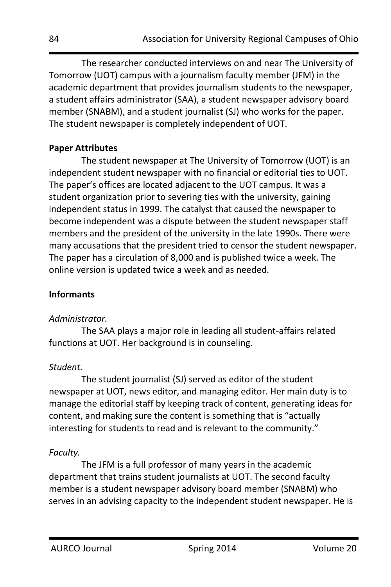The researcher conducted interviews on and near The University of Tomorrow (UOT) campus with a journalism faculty member (JFM) in the academic department that provides journalism students to the newspaper, a student affairs administrator (SAA), a student newspaper advisory board member (SNABM), and a student journalist (SJ) who works for the paper. The student newspaper is completely independent of UOT.

#### **Paper Attributes**

The student newspaper at The University of Tomorrow (UOT) is an independent student newspaper with no financial or editorial ties to UOT. The paper's offices are located adjacent to the UOT campus. It was a student organization prior to severing ties with the university, gaining independent status in 1999. The catalyst that caused the newspaper to become independent was a dispute between the student newspaper staff members and the president of the university in the late 1990s. There were many accusations that the president tried to censor the student newspaper. The paper has a circulation of 8,000 and is published twice a week. The online version is updated twice a week and as needed.

#### **Informants**

#### *Administrator.*

The SAA plays a major role in leading all student-affairs related functions at UOT. Her background is in counseling.

## *Student.*

The student journalist (SJ) served as editor of the student newspaper at UOT, news editor, and managing editor. Her main duty is to manage the editorial staff by keeping track of content, generating ideas for content, and making sure the content is something that is "actually interesting for students to read and is relevant to the community."

## *Faculty.*

The JFM is a full professor of many years in the academic department that trains student journalists at UOT. The second faculty member is a student newspaper advisory board member (SNABM) who serves in an advising capacity to the independent student newspaper. He is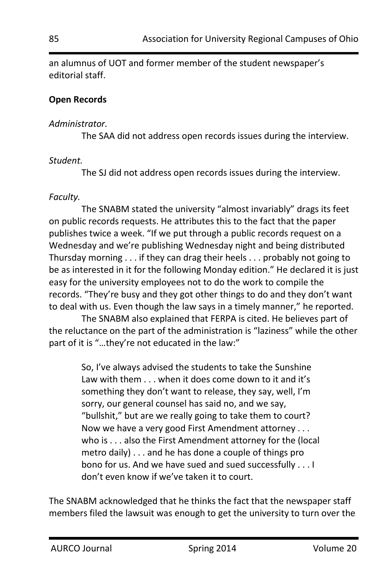an alumnus of UOT and former member of the student newspaper's editorial staff.

## **Open Records**

#### *Administrator.*

The SAA did not address open records issues during the interview.

## *Student.*

The SJ did not address open records issues during the interview.

## *Faculty.*

The SNABM stated the university "almost invariably" drags its feet on public records requests. He attributes this to the fact that the paper publishes twice a week. "If we put through a public records request on a Wednesday and we're publishing Wednesday night and being distributed Thursday morning . . . if they can drag their heels . . . probably not going to be as interested in it for the following Monday edition." He declared it is just easy for the university employees not to do the work to compile the records. "They're busy and they got other things to do and they don't want to deal with us. Even though the law says in a timely manner," he reported.

The SNABM also explained that FERPA is cited. He believes part of the reluctance on the part of the administration is "laziness" while the other part of it is "...they're not educated in the law:"

> So, I've always advised the students to take the Sunshine Law with them . . . when it does come down to it and it's something they don't want to release, they say, well, I'm sorry, our general counsel has said no, and we say, "bullshit," but are we really going to take them to court? Now we have a very good First Amendment attorney . . . who is . . . also the First Amendment attorney for the (local metro daily) . . . and he has done a couple of things pro bono for us. And we have sued and sued successfully . . . I don't even know if we've taken it to court.

The SNABM acknowledged that he thinks the fact that the newspaper staff members filed the lawsuit was enough to get the university to turn over the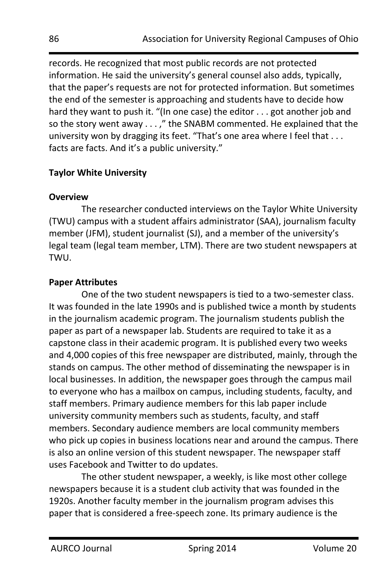records. He recognized that most public records are not protected information. He said the university's general counsel also adds, typically, that the paper's requests are not for protected information. But sometimes the end of the semester is approaching and students have to decide how hard they want to push it. "(In one case) the editor . . . got another job and so the story went away . . . ," the SNABM commented. He explained that the university won by dragging its feet. "That's one area where I feel that . . . facts are facts. And it's a public university."

## **Taylor White University**

## **Overview**

The researcher conducted interviews on the Taylor White University (TWU) campus with a student affairs administrator (SAA), journalism faculty member (JFM), student journalist (SJ), and a member of the university's legal team (legal team member, LTM). There are two student newspapers at TWU.

## **Paper Attributes**

One of the two student newspapers is tied to a two-semester class. It was founded in the late 1990s and is published twice a month by students in the journalism academic program. The journalism students publish the paper as part of a newspaper lab. Students are required to take it as a capstone class in their academic program. It is published every two weeks and 4,000 copies of this free newspaper are distributed, mainly, through the stands on campus. The other method of disseminating the newspaper is in local businesses. In addition, the newspaper goes through the campus mail to everyone who has a mailbox on campus, including students, faculty, and staff members. Primary audience members for this lab paper include university community members such as students, faculty, and staff members. Secondary audience members are local community members who pick up copies in business locations near and around the campus. There is also an online version of this student newspaper. The newspaper staff uses Facebook and Twitter to do updates.

The other student newspaper, a weekly, is like most other college newspapers because it is a student club activity that was founded in the 1920s. Another faculty member in the journalism program advises this paper that is considered a free-speech zone. Its primary audience is the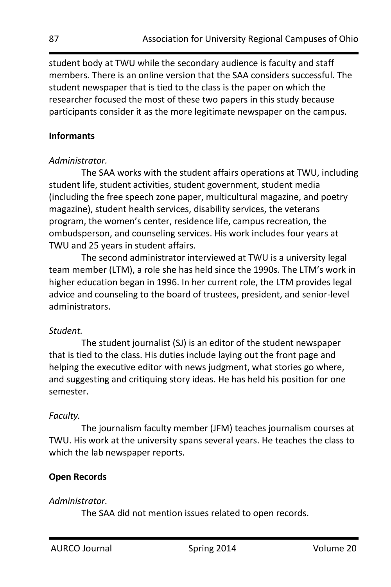student body at TWU while the secondary audience is faculty and staff members. There is an online version that the SAA considers successful. The student newspaper that is tied to the class is the paper on which the researcher focused the most of these two papers in this study because participants consider it as the more legitimate newspaper on the campus.

#### **Informants**

#### *Administrator.*

The SAA works with the student affairs operations at TWU, including student life, student activities, student government, student media (including the free speech zone paper, multicultural magazine, and poetry magazine), student health services, disability services, the veterans program, the women's center, residence life, campus recreation, the ombudsperson, and counseling services. His work includes four years at TWU and 25 years in student affairs.

The second administrator interviewed at TWU is a university legal team member (LTM), a role she has held since the 1990s. The LTM's work in higher education began in 1996. In her current role, the LTM provides legal advice and counseling to the board of trustees, president, and senior-level administrators.

## *Student.*

The student journalist (SJ) is an editor of the student newspaper that is tied to the class. His duties include laying out the front page and helping the executive editor with news judgment, what stories go where, and suggesting and critiquing story ideas. He has held his position for one semester.

## *Faculty.*

The journalism faculty member (JFM) teaches journalism courses at TWU. His work at the university spans several years. He teaches the class to which the lab newspaper reports.

## **Open Records**

## *Administrator.*

The SAA did not mention issues related to open records.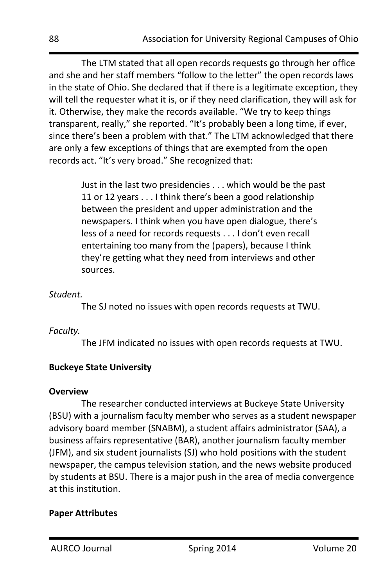The LTM stated that all open records requests go through her office and she and her staff members "follow to the letter" the open records laws in the state of Ohio. She declared that if there is a legitimate exception, they will tell the requester what it is, or if they need clarification, they will ask for it. Otherwise, they make the records available. "We try to keep things transparent, really," she reported. "It's probably been a long time, if ever, since there's been a problem with that." The LTM acknowledged that there are only a few exceptions of things that are exempted from the open records act. "It's very broad." She recognized that:

> Just in the last two presidencies . . . which would be the past 11 or 12 years . . . I think there's been a good relationship between the president and upper administration and the newspapers. I think when you have open dialogue, there's less of a need for records requests . . . I don't even recall entertaining too many from the (papers), because I think they're getting what they need from interviews and other sources.

#### *Student.*

The SJ noted no issues with open records requests at TWU.

## *Faculty.*

The JFM indicated no issues with open records requests at TWU.

## **Buckeye State University**

#### **Overview**

The researcher conducted interviews at Buckeye State University (BSU) with a journalism faculty member who serves as a student newspaper advisory board member (SNABM), a student affairs administrator (SAA), a business affairs representative (BAR), another journalism faculty member (JFM), and six student journalists (SJ) who hold positions with the student newspaper, the campus television station, and the news website produced by students at BSU. There is a major push in the area of media convergence at this institution.

## **Paper Attributes**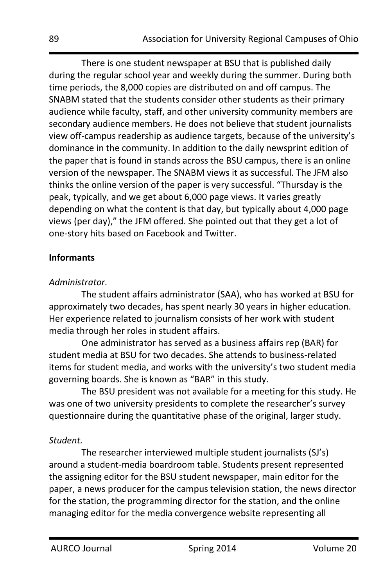There is one student newspaper at BSU that is published daily during the regular school year and weekly during the summer. During both time periods, the 8,000 copies are distributed on and off campus. The SNABM stated that the students consider other students as their primary audience while faculty, staff, and other university community members are secondary audience members. He does not believe that student journalists view off-campus readership as audience targets, because of the university's dominance in the community. In addition to the daily newsprint edition of the paper that is found in stands across the BSU campus, there is an online version of the newspaper. The SNABM views it as successful. The JFM also thinks the online version of the paper is very successful. "Thursday is the peak, typically, and we get about 6,000 page views. It varies greatly depending on what the content is that day, but typically about 4,000 page views (per day)," the JFM offered. She pointed out that they get a lot of one-story hits based on Facebook and Twitter.

#### **Informants**

#### *Administrator.*

The student affairs administrator (SAA), who has worked at BSU for approximately two decades, has spent nearly 30 years in higher education. Her experience related to journalism consists of her work with student media through her roles in student affairs.

One administrator has served as a business affairs rep (BAR) for student media at BSU for two decades. She attends to business-related items for student media, and works with the university's two student media governing boards. She is known as "BAR" in this study.

The BSU president was not available for a meeting for this study. He was one of two university presidents to complete the researcher's survey questionnaire during the quantitative phase of the original, larger study.

## *Student.*

The researcher interviewed multiple student journalists (SJ's) around a student-media boardroom table. Students present represented the assigning editor for the BSU student newspaper, main editor for the paper, a news producer for the campus television station, the news director for the station, the programming director for the station, and the online managing editor for the media convergence website representing all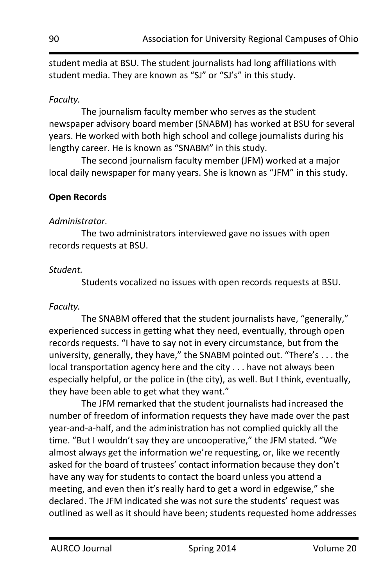student media at BSU. The student journalists had long affiliations with student media. They are known as "SJ" or "SJ's" in this study.

## *Faculty.*

The journalism faculty member who serves as the student newspaper advisory board member (SNABM) has worked at BSU for several years. He worked with both high school and college journalists during his lengthy career. He is known as "SNABM" in this study.

The second journalism faculty member (JFM) worked at a major local daily newspaper for many years. She is known as "JFM" in this study.

## **Open Records**

#### *Administrator.*

The two administrators interviewed gave no issues with open records requests at BSU.

#### *Student.*

Students vocalized no issues with open records requests at BSU.

#### *Faculty.*

The SNABM offered that the student journalists have, "generally," experienced success in getting what they need, eventually, through open records requests. "I have to say not in every circumstance, but from the university, generally, they have," the SNABM pointed out. "There's . . . the local transportation agency here and the city . . . have not always been especially helpful, or the police in (the city), as well. But I think, eventually, they have been able to get what they want."

The JFM remarked that the student journalists had increased the number of freedom of information requests they have made over the past year-and-a-half, and the administration has not complied quickly all the time. "But I wouldn't say they are uncooperative," the JFM stated. "We almost always get the information we're requesting, or, like we recently asked for the board of trustees' contact information because they don't have any way for students to contact the board unless you attend a meeting, and even then it's really hard to get a word in edgewise," she declared. The JFM indicated she was not sure the students' request was outlined as well as it should have been; students requested home addresses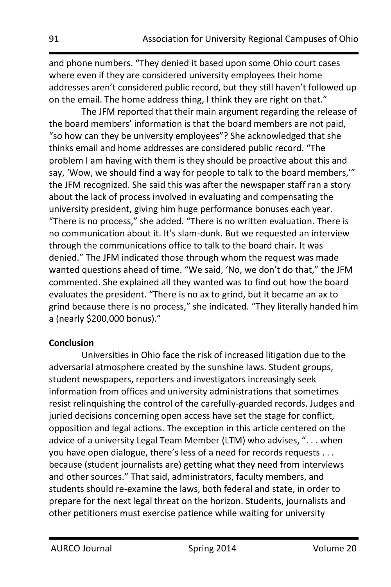and phone numbers. "They denied it based upon some Ohio court cases where even if they are considered university employees their home addresses aren't considered public record, but they still haven't followed up on the email. The home address thing, I think they are right on that."

The JFM reported that their main argument regarding the release of the board members' information is that the board members are not paid, "so how can they be university employees"? She acknowledged that she thinks email and home addresses are considered public record. "The problem I am having with them is they should be proactive about this and say, 'Wow, we should find a way for people to talk to the board members,'" the JFM recognized. She said this was after the newspaper staff ran a story about the lack of process involved in evaluating and compensating the university president, giving him huge performance bonuses each year. "There is no process," she added. "There is no written evaluation. There is no communication about it. It's slam-dunk. But we requested an interview through the communications office to talk to the board chair. It was denied." The JFM indicated those through whom the request was made wanted questions ahead of time. "We said, 'No, we don't do that," the JFM commented. She explained all they wanted was to find out how the board evaluates the president. "There is no ax to grind, but it became an ax to grind because there is no process," she indicated. "They literally handed him a (nearly \$200,000 bonus)."

## **Conclusion**

Universities in Ohio face the risk of increased litigation due to the adversarial atmosphere created by the sunshine laws. Student groups, student newspapers, reporters and investigators increasingly seek information from offices and university administrations that sometimes resist relinquishing the control of the carefully-guarded records. Judges and juried decisions concerning open access have set the stage for conflict, opposition and legal actions. The exception in this article centered on the advice of a university Legal Team Member (LTM) who advises, ". . . when you have open dialogue, there's less of a need for records requests . . . because (student journalists are) getting what they need from interviews and other sources." That said, administrators, faculty members, and students should re-examine the laws, both federal and state, in order to prepare for the next legal threat on the horizon. Students, journalists and other petitioners must exercise patience while waiting for university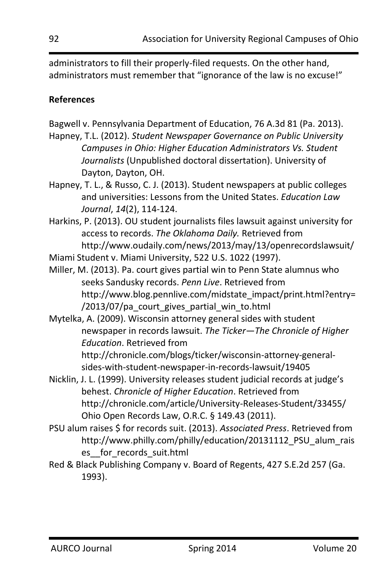administrators to fill their properly-filed requests. On the other hand, administrators must remember that "ignorance of the law is no excuse!"

## **References**

Bagwell v. Pennsylvania Department of Education, 76 A.3d 81 (Pa. 2013).

- Hapney, T.L. (2012). *Student Newspaper Governance on Public University Campuses in Ohio: Higher Education Administrators Vs. Student Journalists* (Unpublished doctoral dissertation). University of Dayton, Dayton, OH.
- Hapney, T. L., & Russo, C. J. (2013). Student newspapers at public colleges and universities: Lessons from the United States. *Education Law Journal*, *14*(2), 114-124.
- Harkins, P. (2013). OU student journalists files lawsuit against university for access to records. *The Oklahoma Daily.* Retrieved from http://www.oudaily.com/news/2013/may/13/openrecordslawsuit/
- Miami Student v. Miami University, 522 U.S. 1022 (1997).
- Miller, M. (2013). Pa. court gives partial win to Penn State alumnus who seeks Sandusky records. *Penn Live*. Retrieved from http://www.blog.pennlive.com/midstate\_impact/print.html?entry= /2013/07/pa\_court\_gives\_partial\_win\_to.html
- Mytelka, A. (2009). Wisconsin attorney general sides with student newspaper in records lawsuit. *The Ticker*—*The Chronicle of Higher Education*. Retrieved from http://chronicle.com/blogs/ticker/wisconsin-attorney-general-

sides-with-student-newspaper-in-records-lawsuit/19405

- Nicklin, J. L. (1999). University releases student judicial records at judge's behest. *Chronicle of Higher Education*. Retrieved from http://chronicle.com/article/University-Releases-Student/33455/ Ohio Open Records Law, O.R.C. § 149.43 (2011).
- PSU alum raises \$ for records suit. (2013). *Associated Press*. Retrieved from http://www.philly.com/philly/education/20131112\_PSU\_alum\_rais es for records suit.html
- Red & Black Publishing Company v. Board of Regents, 427 S.E.2d 257 (Ga. 1993).